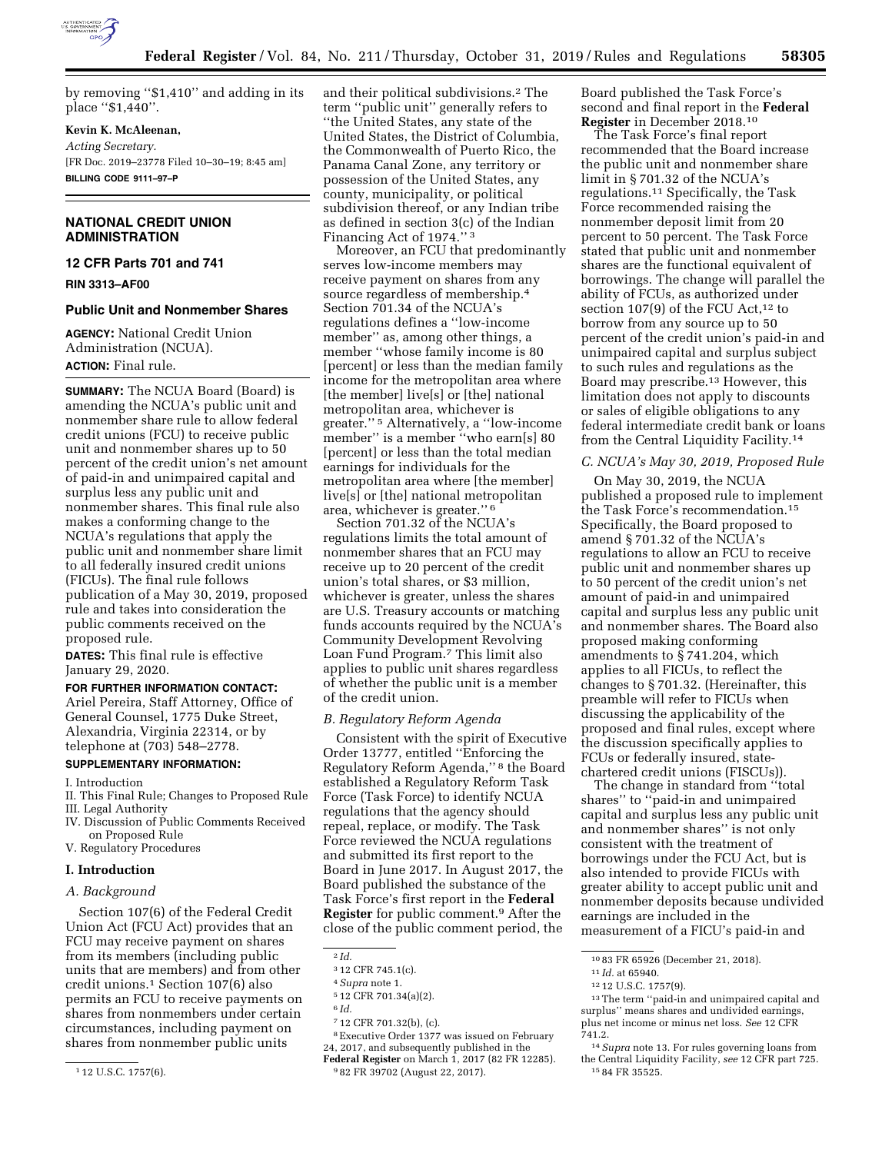

by removing ''\$1,410'' and adding in its place ''\$1,440''.

#### **Kevin K. McAleenan,**

*Acting Secretary.*  [FR Doc. 2019–23778 Filed 10–30–19; 8:45 am] **BILLING CODE 9111–97–P** 

# **NATIONAL CREDIT UNION ADMINISTRATION**

**12 CFR Parts 701 and 741** 

**RIN 3313–AF00** 

#### **Public Unit and Nonmember Shares**

**AGENCY:** National Credit Union Administration (NCUA). **ACTION:** Final rule.

**SUMMARY:** The NCUA Board (Board) is amending the NCUA's public unit and nonmember share rule to allow federal credit unions (FCU) to receive public unit and nonmember shares up to 50 percent of the credit union's net amount of paid-in and unimpaired capital and surplus less any public unit and nonmember shares. This final rule also makes a conforming change to the NCUA's regulations that apply the public unit and nonmember share limit to all federally insured credit unions (FICUs). The final rule follows publication of a May 30, 2019, proposed rule and takes into consideration the public comments received on the proposed rule.

**DATES:** This final rule is effective January 29, 2020.

# **FOR FURTHER INFORMATION CONTACT:**

Ariel Pereira, Staff Attorney, Office of General Counsel, 1775 Duke Street, Alexandria, Virginia 22314, or by telephone at (703) 548–2778.

#### **SUPPLEMENTARY INFORMATION:**

I. Introduction

- II. This Final Rule; Changes to Proposed Rule III. Legal Authority
- IV. Discussion of Public Comments Received on Proposed Rule
- V. Regulatory Procedures

#### **I. Introduction**

#### *A. Background*

Section 107(6) of the Federal Credit Union Act (FCU Act) provides that an FCU may receive payment on shares from its members (including public units that are members) and from other credit unions.1 Section 107(6) also permits an FCU to receive payments on shares from nonmembers under certain circumstances, including payment on shares from nonmember public units

and their political subdivisions.2 The term ''public unit'' generally refers to ''the United States, any state of the United States, the District of Columbia, the Commonwealth of Puerto Rico, the Panama Canal Zone, any territory or possession of the United States, any county, municipality, or political subdivision thereof, or any Indian tribe as defined in section 3(c) of the Indian Financing Act of 1974.'' 3

Moreover, an FCU that predominantly serves low-income members may receive payment on shares from any source regardless of membership.4 Section 701.34 of the NCUA's regulations defines a ''low-income member'' as, among other things, a member ''whose family income is 80 [percent] or less than the median family income for the metropolitan area where [the member] live[s] or [the] national metropolitan area, whichever is greater.'' 5 Alternatively, a ''low-income member'' is a member ''who earn[s] 80 [percent] or less than the total median earnings for individuals for the metropolitan area where [the member] live[s] or [the] national metropolitan area, whichever is greater.'' 6

Section 701.32 of the NCUA's regulations limits the total amount of nonmember shares that an FCU may receive up to 20 percent of the credit union's total shares, or \$3 million, whichever is greater, unless the shares are U.S. Treasury accounts or matching funds accounts required by the NCUA's Community Development Revolving Loan Fund Program.7 This limit also applies to public unit shares regardless of whether the public unit is a member of the credit union.

## *B. Regulatory Reform Agenda*

Consistent with the spirit of Executive Order 13777, entitled ''Enforcing the Regulatory Reform Agenda,'' 8 the Board established a Regulatory Reform Task Force (Task Force) to identify NCUA regulations that the agency should repeal, replace, or modify. The Task Force reviewed the NCUA regulations and submitted its first report to the Board in June 2017. In August 2017, the Board published the substance of the Task Force's first report in the **Federal Register** for public comment.9 After the close of the public comment period, the

7 12 CFR 701.32(b), (c).

8Executive Order 1377 was issued on February 24, 2017, and subsequently published in the

Board published the Task Force's second and final report in the **Federal Register** in December 2018.10

The Task Force's final report recommended that the Board increase the public unit and nonmember share limit in § 701.32 of the NCUA's regulations.11 Specifically, the Task Force recommended raising the nonmember deposit limit from 20 percent to 50 percent. The Task Force stated that public unit and nonmember shares are the functional equivalent of borrowings. The change will parallel the ability of FCUs, as authorized under section  $107(9)$  of the FCU Act,<sup>12</sup> to borrow from any source up to 50 percent of the credit union's paid-in and unimpaired capital and surplus subject to such rules and regulations as the Board may prescribe.13 However, this limitation does not apply to discounts or sales of eligible obligations to any federal intermediate credit bank or loans from the Central Liquidity Facility.14

# *C. NCUA's May 30, 2019, Proposed Rule*

On May 30, 2019, the NCUA published a proposed rule to implement the Task Force's recommendation.15 Specifically, the Board proposed to amend § 701.32 of the NCUA's regulations to allow an FCU to receive public unit and nonmember shares up to 50 percent of the credit union's net amount of paid-in and unimpaired capital and surplus less any public unit and nonmember shares. The Board also proposed making conforming amendments to § 741.204, which applies to all FICUs, to reflect the changes to § 701.32. (Hereinafter, this preamble will refer to FICUs when discussing the applicability of the proposed and final rules, except where the discussion specifically applies to FCUs or federally insured, statechartered credit unions (FISCUs)).

The change in standard from ''total shares'' to ''paid-in and unimpaired capital and surplus less any public unit and nonmember shares'' is not only consistent with the treatment of borrowings under the FCU Act, but is also intended to provide FICUs with greater ability to accept public unit and nonmember deposits because undivided earnings are included in the measurement of a FICU's paid-in and

<sup>1</sup> 12 U.S.C. 1757(6).

<sup>2</sup> *Id.* 

<sup>3</sup> 12 CFR 745.1(c).

<sup>4</sup>*Supra* note 1.

<sup>5</sup> 12 CFR 701.34(a)(2).

<sup>6</sup> *Id.* 

**Federal Register** on March 1, 2017 (82 FR 12285). 9 82 FR 39702 (August 22, 2017).

<sup>10</sup> 83 FR 65926 (December 21, 2018).

<sup>11</sup> *Id.* at 65940.

<sup>12</sup> 12 U.S.C. 1757(9).

<sup>13</sup>The term ''paid-in and unimpaired capital and surplus'' means shares and undivided earnings, plus net income or minus net loss. *See* 12 CFR 741.2.

<sup>14</sup>*Supra* note 13. For rules governing loans from the Central Liquidity Facility, *see* 12 CFR part 725. 15 84 FR 35525.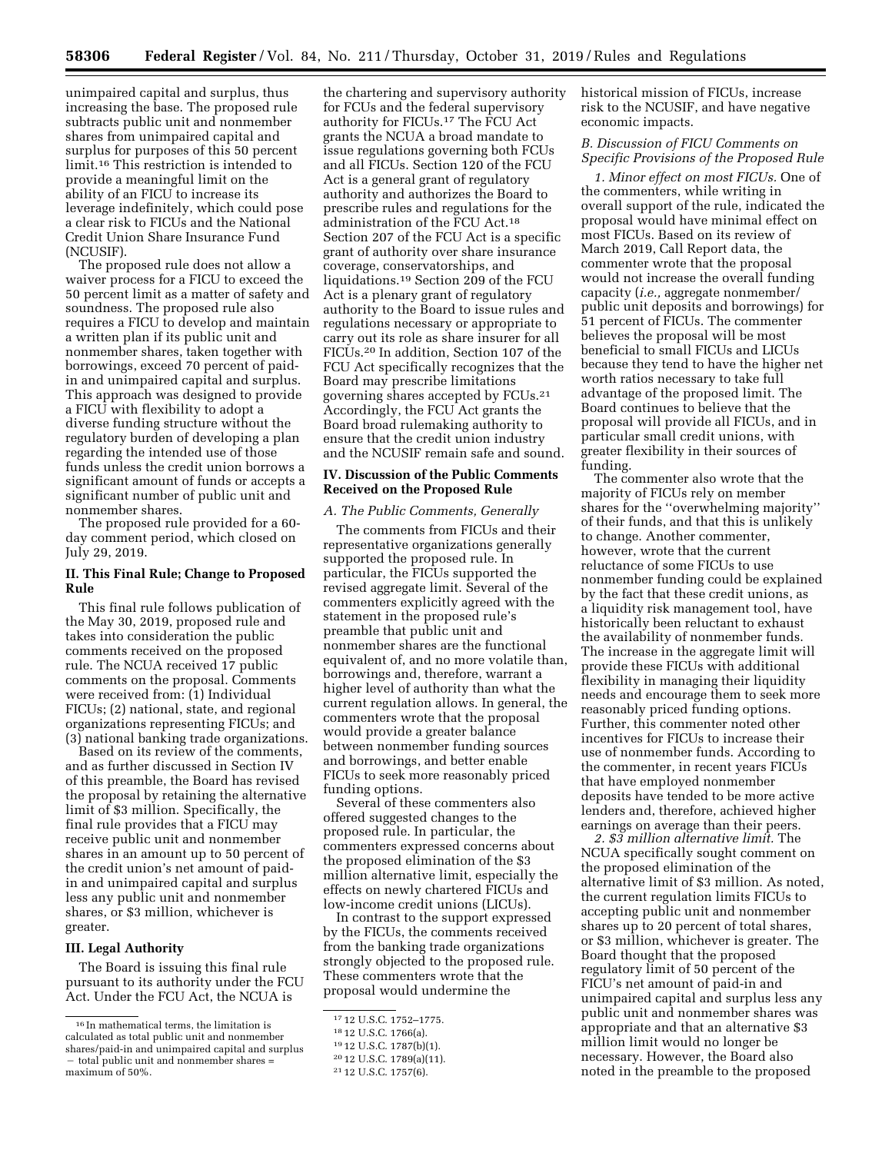unimpaired capital and surplus, thus increasing the base. The proposed rule subtracts public unit and nonmember shares from unimpaired capital and surplus for purposes of this 50 percent limit.16 This restriction is intended to provide a meaningful limit on the ability of an FICU to increase its leverage indefinitely, which could pose a clear risk to FICUs and the National Credit Union Share Insurance Fund (NCUSIF).

The proposed rule does not allow a waiver process for a FICU to exceed the 50 percent limit as a matter of safety and soundness. The proposed rule also requires a FICU to develop and maintain a written plan if its public unit and nonmember shares, taken together with borrowings, exceed 70 percent of paidin and unimpaired capital and surplus. This approach was designed to provide a FICU with flexibility to adopt a diverse funding structure without the regulatory burden of developing a plan regarding the intended use of those funds unless the credit union borrows a significant amount of funds or accepts a significant number of public unit and nonmember shares.

The proposed rule provided for a 60 day comment period, which closed on July 29, 2019.

### **II. This Final Rule; Change to Proposed Rule**

This final rule follows publication of the May 30, 2019, proposed rule and takes into consideration the public comments received on the proposed rule. The NCUA received 17 public comments on the proposal. Comments were received from: (1) Individual FICUs; (2) national, state, and regional organizations representing FICUs; and (3) national banking trade organizations.

Based on its review of the comments, and as further discussed in Section IV of this preamble, the Board has revised the proposal by retaining the alternative limit of \$3 million. Specifically, the final rule provides that a FICU may receive public unit and nonmember shares in an amount up to 50 percent of the credit union's net amount of paidin and unimpaired capital and surplus less any public unit and nonmember shares, or \$3 million, whichever is greater.

#### **III. Legal Authority**

The Board is issuing this final rule pursuant to its authority under the FCU Act. Under the FCU Act, the NCUA is

the chartering and supervisory authority for FCUs and the federal supervisory authority for FICUs.17 The FCU Act grants the NCUA a broad mandate to issue regulations governing both FCUs and all FICUs. Section 120 of the FCU Act is a general grant of regulatory authority and authorizes the Board to prescribe rules and regulations for the administration of the FCU Act.<sup>18</sup> Section 207 of the FCU Act is a specific grant of authority over share insurance coverage, conservatorships, and liquidations.19 Section 209 of the FCU Act is a plenary grant of regulatory authority to the Board to issue rules and regulations necessary or appropriate to carry out its role as share insurer for all FICUs.20 In addition, Section 107 of the FCU Act specifically recognizes that the Board may prescribe limitations governing shares accepted by FCUs.21 Accordingly, the FCU Act grants the Board broad rulemaking authority to ensure that the credit union industry and the NCUSIF remain safe and sound.

#### **IV. Discussion of the Public Comments Received on the Proposed Rule**

#### *A. The Public Comments, Generally*

The comments from FICUs and their representative organizations generally supported the proposed rule. In particular, the FICUs supported the revised aggregate limit. Several of the commenters explicitly agreed with the statement in the proposed rule's preamble that public unit and nonmember shares are the functional equivalent of, and no more volatile than, borrowings and, therefore, warrant a higher level of authority than what the current regulation allows. In general, the commenters wrote that the proposal would provide a greater balance between nonmember funding sources and borrowings, and better enable FICUs to seek more reasonably priced funding options.

Several of these commenters also offered suggested changes to the proposed rule. In particular, the commenters expressed concerns about the proposed elimination of the \$3 million alternative limit, especially the effects on newly chartered FICUs and low-income credit unions (LICUs).

In contrast to the support expressed by the FICUs, the comments received from the banking trade organizations strongly objected to the proposed rule. These commenters wrote that the proposal would undermine the

historical mission of FICUs, increase risk to the NCUSIF, and have negative economic impacts.

# *B. Discussion of FICU Comments on Specific Provisions of the Proposed Rule*

*1. Minor effect on most FICUs.* One of the commenters, while writing in overall support of the rule, indicated the proposal would have minimal effect on most FICUs. Based on its review of March 2019, Call Report data, the commenter wrote that the proposal would not increase the overall funding capacity (*i.e.,* aggregate nonmember/ public unit deposits and borrowings) for 51 percent of FICUs. The commenter believes the proposal will be most beneficial to small FICUs and LICUs because they tend to have the higher net worth ratios necessary to take full advantage of the proposed limit. The Board continues to believe that the proposal will provide all FICUs, and in particular small credit unions, with greater flexibility in their sources of funding.

The commenter also wrote that the majority of FICUs rely on member shares for the ''overwhelming majority'' of their funds, and that this is unlikely to change. Another commenter, however, wrote that the current reluctance of some FICUs to use nonmember funding could be explained by the fact that these credit unions, as a liquidity risk management tool, have historically been reluctant to exhaust the availability of nonmember funds. The increase in the aggregate limit will provide these FICUs with additional flexibility in managing their liquidity needs and encourage them to seek more reasonably priced funding options. Further, this commenter noted other incentives for FICUs to increase their use of nonmember funds. According to the commenter, in recent years FICUs that have employed nonmember deposits have tended to be more active lenders and, therefore, achieved higher earnings on average than their peers.

*2. \$3 million alternative limit.* The NCUA specifically sought comment on the proposed elimination of the alternative limit of \$3 million. As noted, the current regulation limits FICUs to accepting public unit and nonmember shares up to 20 percent of total shares, or \$3 million, whichever is greater. The Board thought that the proposed regulatory limit of 50 percent of the FICU's net amount of paid-in and unimpaired capital and surplus less any public unit and nonmember shares was appropriate and that an alternative \$3 million limit would no longer be necessary. However, the Board also noted in the preamble to the proposed

 $^{\rm 16}$  In mathematical terms, the limitation is calculated as total public unit and nonmember shares/paid-in and unimpaired capital and surplus - total public unit and nonmember shares = maximum of 50%.

<sup>17</sup> 12 U.S.C. 1752–1775.

<sup>18</sup> 12 U.S.C. 1766(a).

<sup>19</sup> 12 U.S.C. 1787(b)(1).

<sup>20</sup> 12 U.S.C. 1789(a)(11).

<sup>21</sup> 12 U.S.C. 1757(6).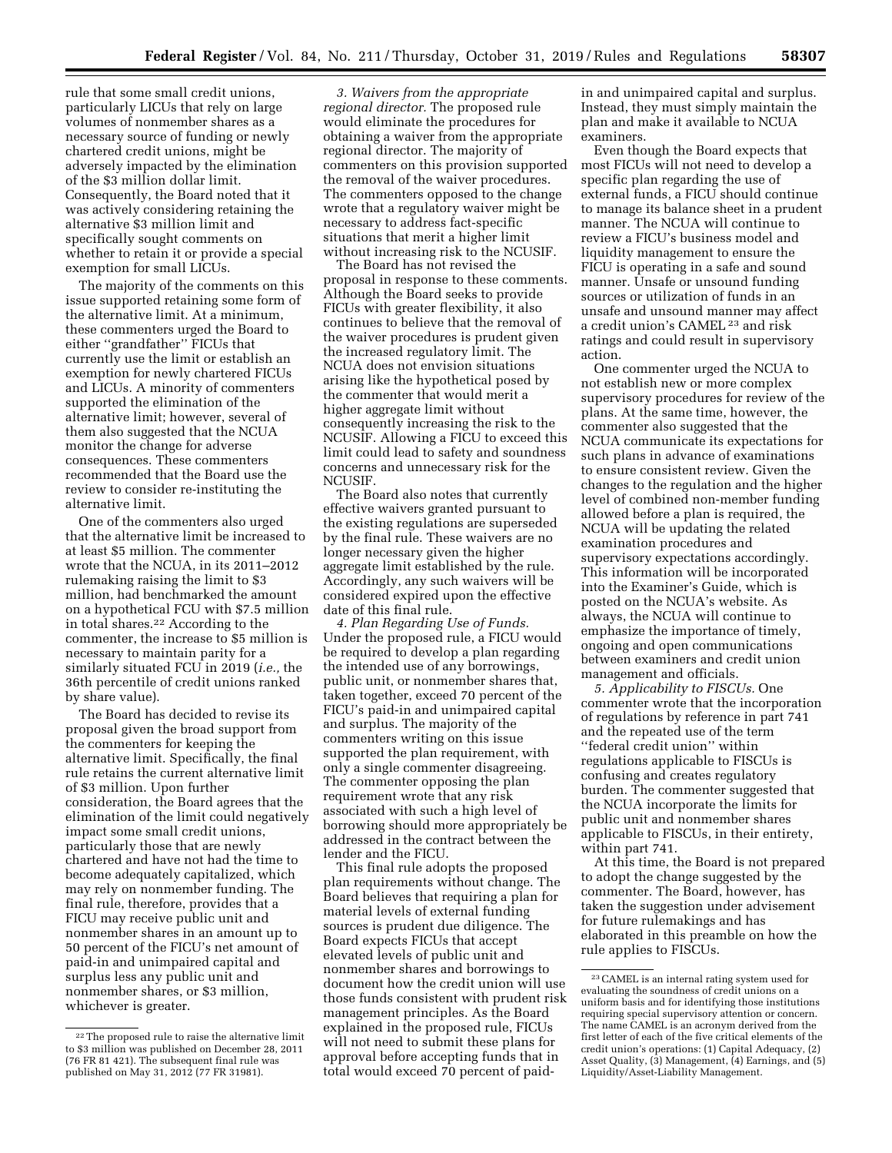rule that some small credit unions, particularly LICUs that rely on large volumes of nonmember shares as a necessary source of funding or newly chartered credit unions, might be adversely impacted by the elimination of the \$3 million dollar limit. Consequently, the Board noted that it was actively considering retaining the alternative \$3 million limit and specifically sought comments on whether to retain it or provide a special exemption for small LICUs.

The majority of the comments on this issue supported retaining some form of the alternative limit. At a minimum, these commenters urged the Board to either ''grandfather'' FICUs that currently use the limit or establish an exemption for newly chartered FICUs and LICUs. A minority of commenters supported the elimination of the alternative limit; however, several of them also suggested that the NCUA monitor the change for adverse consequences. These commenters recommended that the Board use the review to consider re-instituting the alternative limit.

One of the commenters also urged that the alternative limit be increased to at least \$5 million. The commenter wrote that the NCUA, in its 2011–2012 rulemaking raising the limit to \$3 million, had benchmarked the amount on a hypothetical FCU with \$7.5 million in total shares.22 According to the commenter, the increase to \$5 million is necessary to maintain parity for a similarly situated FCU in 2019 (*i.e.,* the 36th percentile of credit unions ranked by share value).

The Board has decided to revise its proposal given the broad support from the commenters for keeping the alternative limit. Specifically, the final rule retains the current alternative limit of \$3 million. Upon further consideration, the Board agrees that the elimination of the limit could negatively impact some small credit unions, particularly those that are newly chartered and have not had the time to become adequately capitalized, which may rely on nonmember funding. The final rule, therefore, provides that a FICU may receive public unit and nonmember shares in an amount up to 50 percent of the FICU's net amount of paid-in and unimpaired capital and surplus less any public unit and nonmember shares, or \$3 million, whichever is greater.

*3. Waivers from the appropriate regional director.* The proposed rule would eliminate the procedures for obtaining a waiver from the appropriate regional director. The majority of commenters on this provision supported the removal of the waiver procedures. The commenters opposed to the change wrote that a regulatory waiver might be necessary to address fact-specific situations that merit a higher limit without increasing risk to the NCUSIF.

The Board has not revised the proposal in response to these comments. Although the Board seeks to provide FICUs with greater flexibility, it also continues to believe that the removal of the waiver procedures is prudent given the increased regulatory limit. The NCUA does not envision situations arising like the hypothetical posed by the commenter that would merit a higher aggregate limit without consequently increasing the risk to the NCUSIF. Allowing a FICU to exceed this limit could lead to safety and soundness concerns and unnecessary risk for the NCUSIF.

The Board also notes that currently effective waivers granted pursuant to the existing regulations are superseded by the final rule. These waivers are no longer necessary given the higher aggregate limit established by the rule. Accordingly, any such waivers will be considered expired upon the effective date of this final rule.

*4. Plan Regarding Use of Funds.*  Under the proposed rule, a FICU would be required to develop a plan regarding the intended use of any borrowings, public unit, or nonmember shares that, taken together, exceed 70 percent of the FICU's paid-in and unimpaired capital and surplus. The majority of the commenters writing on this issue supported the plan requirement, with only a single commenter disagreeing. The commenter opposing the plan requirement wrote that any risk associated with such a high level of borrowing should more appropriately be addressed in the contract between the lender and the FICU.

This final rule adopts the proposed plan requirements without change. The Board believes that requiring a plan for material levels of external funding sources is prudent due diligence. The Board expects FICUs that accept elevated levels of public unit and nonmember shares and borrowings to document how the credit union will use those funds consistent with prudent risk management principles. As the Board explained in the proposed rule, FICUs will not need to submit these plans for approval before accepting funds that in total would exceed 70 percent of paidin and unimpaired capital and surplus. Instead, they must simply maintain the plan and make it available to NCUA examiners.

Even though the Board expects that most FICUs will not need to develop a specific plan regarding the use of external funds, a FICU should continue to manage its balance sheet in a prudent manner. The NCUA will continue to review a FICU's business model and liquidity management to ensure the FICU is operating in a safe and sound manner. Unsafe or unsound funding sources or utilization of funds in an unsafe and unsound manner may affect a credit union's CAMEL 23 and risk ratings and could result in supervisory action.

One commenter urged the NCUA to not establish new or more complex supervisory procedures for review of the plans. At the same time, however, the commenter also suggested that the NCUA communicate its expectations for such plans in advance of examinations to ensure consistent review. Given the changes to the regulation and the higher level of combined non-member funding allowed before a plan is required, the NCUA will be updating the related examination procedures and supervisory expectations accordingly. This information will be incorporated into the Examiner's Guide, which is posted on the NCUA's website. As always, the NCUA will continue to emphasize the importance of timely, ongoing and open communications between examiners and credit union management and officials.

*5. Applicability to FISCUs.* One commenter wrote that the incorporation of regulations by reference in part 741 and the repeated use of the term ''federal credit union'' within regulations applicable to FISCUs is confusing and creates regulatory burden. The commenter suggested that the NCUA incorporate the limits for public unit and nonmember shares applicable to FISCUs, in their entirety, within part 741.

At this time, the Board is not prepared to adopt the change suggested by the commenter. The Board, however, has taken the suggestion under advisement for future rulemakings and has elaborated in this preamble on how the rule applies to FISCUs.

<sup>22</sup>The proposed rule to raise the alternative limit to \$3 million was published on December 28, 2011 (76 FR 81 421). The subsequent final rule was published on May 31, 2012 (77 FR 31981).

<sup>23</sup>CAMEL is an internal rating system used for evaluating the soundness of credit unions on a uniform basis and for identifying those institutions requiring special supervisory attention or concern. The name CAMEL is an acronym derived from the first letter of each of the five critical elements of the credit union's operations: (1) Capital Adequacy, (2) Asset Quality, (3) Management, (4) Earnings, and (5) Liquidity/Asset-Liability Management.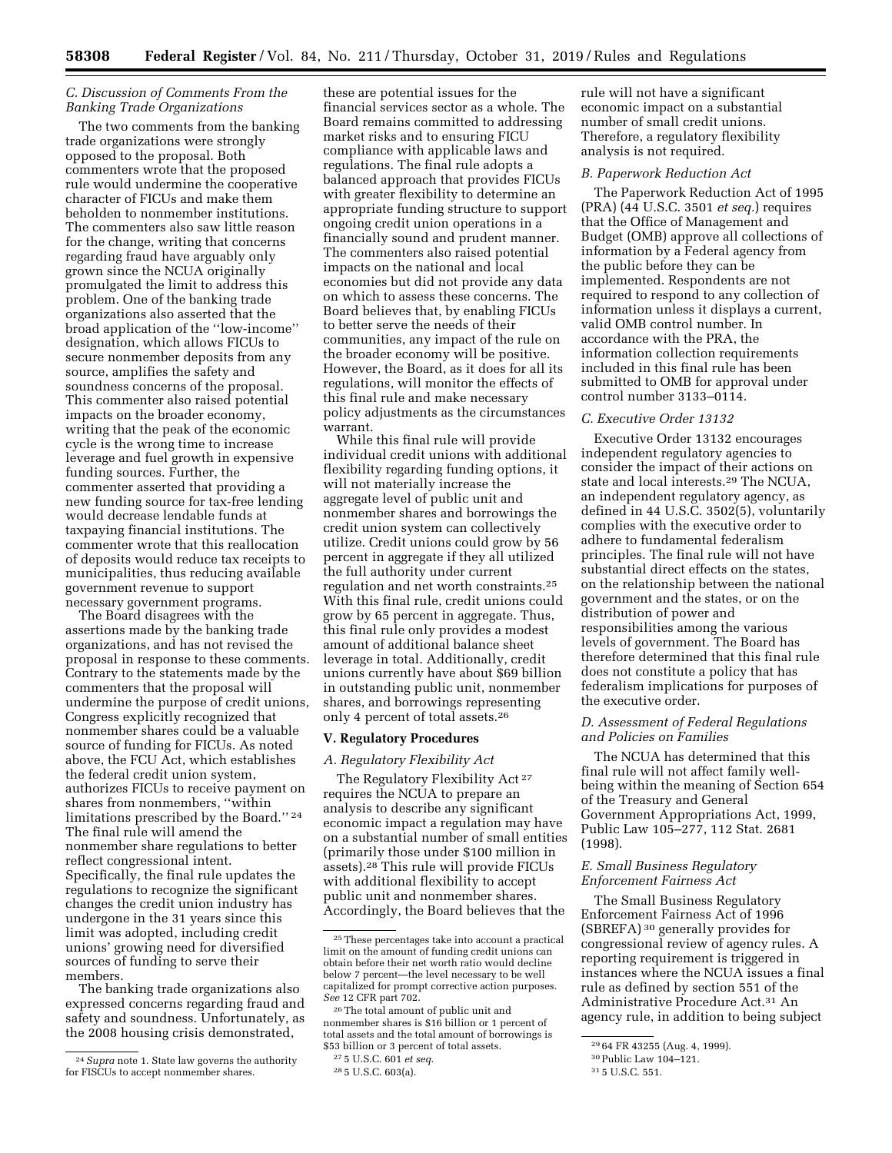# *C. Discussion of Comments From the Banking Trade Organizations*

The two comments from the banking trade organizations were strongly opposed to the proposal. Both commenters wrote that the proposed rule would undermine the cooperative character of FICUs and make them beholden to nonmember institutions. The commenters also saw little reason for the change, writing that concerns regarding fraud have arguably only grown since the NCUA originally promulgated the limit to address this problem. One of the banking trade organizations also asserted that the broad application of the ''low-income'' designation, which allows FICUs to secure nonmember deposits from any source, amplifies the safety and soundness concerns of the proposal. This commenter also raised potential impacts on the broader economy, writing that the peak of the economic cycle is the wrong time to increase leverage and fuel growth in expensive funding sources. Further, the commenter asserted that providing a new funding source for tax-free lending would decrease lendable funds at taxpaying financial institutions. The commenter wrote that this reallocation of deposits would reduce tax receipts to municipalities, thus reducing available government revenue to support necessary government programs.

The Board disagrees with the assertions made by the banking trade organizations, and has not revised the proposal in response to these comments. Contrary to the statements made by the commenters that the proposal will undermine the purpose of credit unions, Congress explicitly recognized that nonmember shares could be a valuable source of funding for FICUs. As noted above, the FCU Act, which establishes the federal credit union system, authorizes FICUs to receive payment on shares from nonmembers, ''within limitations prescribed by the Board.'' 24 The final rule will amend the nonmember share regulations to better reflect congressional intent. Specifically, the final rule updates the regulations to recognize the significant changes the credit union industry has undergone in the 31 years since this limit was adopted, including credit unions' growing need for diversified sources of funding to serve their members.

The banking trade organizations also expressed concerns regarding fraud and safety and soundness. Unfortunately, as the 2008 housing crisis demonstrated,

these are potential issues for the financial services sector as a whole. The Board remains committed to addressing market risks and to ensuring FICU compliance with applicable laws and regulations. The final rule adopts a balanced approach that provides FICUs with greater flexibility to determine an appropriate funding structure to support ongoing credit union operations in a financially sound and prudent manner. The commenters also raised potential impacts on the national and local economies but did not provide any data on which to assess these concerns. The Board believes that, by enabling FICUs to better serve the needs of their communities, any impact of the rule on the broader economy will be positive. However, the Board, as it does for all its regulations, will monitor the effects of this final rule and make necessary policy adjustments as the circumstances warrant.

While this final rule will provide individual credit unions with additional flexibility regarding funding options, it will not materially increase the aggregate level of public unit and nonmember shares and borrowings the credit union system can collectively utilize. Credit unions could grow by 56 percent in aggregate if they all utilized the full authority under current regulation and net worth constraints.25 With this final rule, credit unions could grow by 65 percent in aggregate. Thus, this final rule only provides a modest amount of additional balance sheet leverage in total. Additionally, credit unions currently have about \$69 billion in outstanding public unit, nonmember shares, and borrowings representing only 4 percent of total assets.26

#### **V. Regulatory Procedures**

#### *A. Regulatory Flexibility Act*

The Regulatory Flexibility Act<sup>27</sup> requires the NCUA to prepare an analysis to describe any significant economic impact a regulation may have on a substantial number of small entities (primarily those under \$100 million in assets).28 This rule will provide FICUs with additional flexibility to accept public unit and nonmember shares. Accordingly, the Board believes that the

26The total amount of public unit and nonmember shares is \$16 billion or 1 percent of total assets and the total amount of borrowings is \$53 billion or 3 percent of total assets.

rule will not have a significant economic impact on a substantial number of small credit unions. Therefore, a regulatory flexibility analysis is not required.

# *B. Paperwork Reduction Act*

The Paperwork Reduction Act of 1995 (PRA) (44 U.S.C. 3501 *et seq.*) requires that the Office of Management and Budget (OMB) approve all collections of information by a Federal agency from the public before they can be implemented. Respondents are not required to respond to any collection of information unless it displays a current, valid OMB control number. In accordance with the PRA, the information collection requirements included in this final rule has been submitted to OMB for approval under control number 3133–0114.

#### *C. Executive Order 13132*

Executive Order 13132 encourages independent regulatory agencies to consider the impact of their actions on state and local interests.29 The NCUA, an independent regulatory agency, as defined in 44 U.S.C. 3502(5), voluntarily complies with the executive order to adhere to fundamental federalism principles. The final rule will not have substantial direct effects on the states, on the relationship between the national government and the states, or on the distribution of power and responsibilities among the various levels of government. The Board has therefore determined that this final rule does not constitute a policy that has federalism implications for purposes of the executive order.

#### *D. Assessment of Federal Regulations and Policies on Families*

The NCUA has determined that this final rule will not affect family wellbeing within the meaning of Section 654 of the Treasury and General Government Appropriations Act, 1999, Public Law 105–277, 112 Stat. 2681 (1998).

#### *E. Small Business Regulatory Enforcement Fairness Act*

The Small Business Regulatory Enforcement Fairness Act of 1996 (SBREFA) 30 generally provides for congressional review of agency rules. A reporting requirement is triggered in instances where the NCUA issues a final rule as defined by section 551 of the Administrative Procedure Act.31 An agency rule, in addition to being subject

<sup>24</sup>*Supra* note 1. State law governs the authority for FISCUs to accept nonmember shares.

<sup>25</sup>These percentages take into account a practical limit on the amount of funding credit unions can obtain before their net worth ratio would decline below 7 percent—the level necessary to be well capitalized for prompt corrective action purposes. *See* 12 CFR part 702.

<sup>27</sup> 5 U.S.C. 601 *et seq.*  28 5 U.S.C. 603(a).

<sup>29</sup> 64 FR 43255 (Aug. 4, 1999).

<sup>30</sup>Public Law 104–121.

<sup>31</sup> 5 U.S.C. 551.